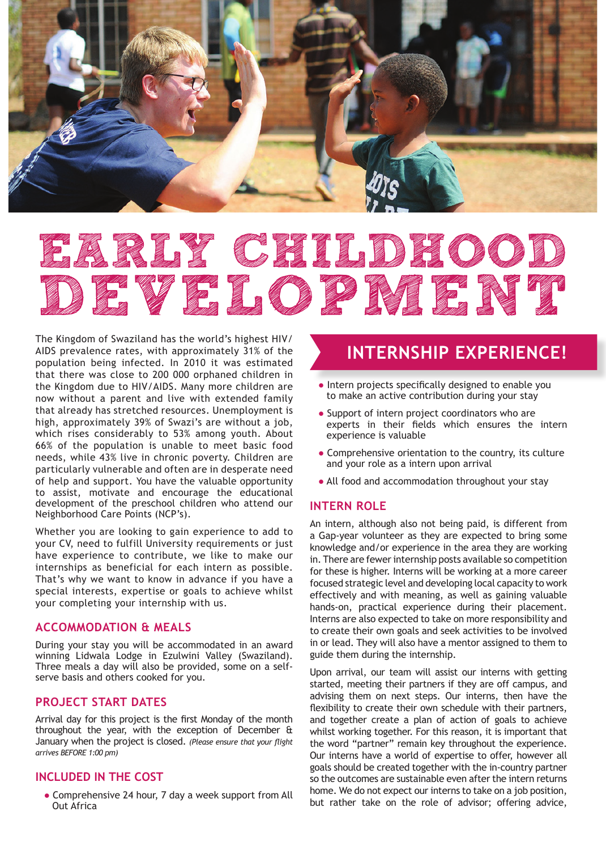

# EARLY CHILDHOOD DE VELOPMENT

The Kingdom of Swaziland has the world's highest HIV/ AIDS prevalence rates, with approximately 31% of the population being infected. In 2010 it was estimated that there was close to 200 000 orphaned children in the Kingdom due to HIV/AIDS. Many more children are now without a parent and live with extended family that already has stretched resources. Unemployment is high, approximately 39% of Swazi's are without a job, which rises considerably to 53% among youth. About 66% of the population is unable to meet basic food needs, while 43% live in chronic poverty. Children are particularly vulnerable and often are in desperate need of help and support. You have the valuable opportunity to assist, motivate and encourage the educational development of the preschool children who attend our Neighborhood Care Points (NCP's).

Whether you are looking to gain experience to add to your CV, need to fulfill University requirements or just have experience to contribute, we like to make our internships as beneficial for each intern as possible. That's why we want to know in advance if you have a special interests, expertise or goals to achieve whilst your completing your internship with us.

## **ACCOMMODATION & MEALS**

During your stay you will be accommodated in an award winning Lidwala Lodge in Ezulwini Valley (Swaziland). Three meals a day will also be provided, some on a selfserve basis and others cooked for you.

# **PROJECT START DATES**

Arrival day for this project is the first Monday of the month throughout the year, with the exception of December & January when the project is closed. *(Please ensure that your flight arrives BEFORE 1:00 pm)*

# **INCLUDED IN THE COST**

• Comprehensive 24 hour, 7 day a week support from All Out Africa

# **INTERNSHIP EXPERIENCE!**

- Intern projects specifically designed to enable you to make an active contribution during your stay
- Support of intern project coordinators who are experts in their fields which ensures the intern experience is valuable
- Comprehensive orientation to the country, its culture and your role as a intern upon arrival
- All food and accommodation throughout your stay

## **INTERN ROLE**

An intern, although also not being paid, is different from a Gap-year volunteer as they are expected to bring some knowledge and/or experience in the area they are working in. There are fewer internship posts available so competition for these is higher. Interns will be working at a more career focused strategic level and developing local capacity to work effectively and with meaning, as well as gaining valuable hands-on, practical experience during their placement. Interns are also expected to take on more responsibility and to create their own goals and seek activities to be involved in or lead. They will also have a mentor assigned to them to guide them during the internship.

Upon arrival, our team will assist our interns with getting started, meeting their partners if they are off campus, and advising them on next steps. Our interns, then have the flexibility to create their own schedule with their partners, and together create a plan of action of goals to achieve whilst working together. For this reason, it is important that the word "partner" remain key throughout the experience. Our interns have a world of expertise to offer, however all goals should be created together with the in-country partner so the outcomes are sustainable even after the intern returns home. We do not expect our interns to take on a job position, but rather take on the role of advisor; offering advice,